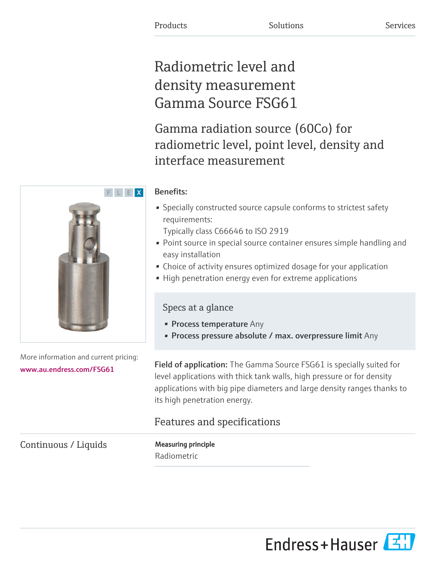# Radiometric level and density measurement Gamma Source FSG61

Gamma radiation source (60Co) for radiometric level, point level, density and interface measurement

# Benefits:

• Specially constructed source capsule conforms to strictest safety requirements:

Typically class C66646 to ISO 2919

- Point source in special source container ensures simple handling and easy installation
- Choice of activity ensures optimized dosage for your application
- High penetration energy even for extreme applications

# Specs at a glance

- Process temperature Any
- Process pressure absolute / max. overpressure limit Any

Field of application: The Gamma Source FSG61 is specially suited for level applications with thick tank walls, high pressure or for density applications with big pipe diameters and large density ranges thanks to its high penetration energy.

# Features and specifications

Continuous / Liquids Measuring principle

Radiometric



More information and current pricing:

[www.au.endress.com/FSG61](https://www.au.endress.com/FSG61)

Endress+Hauser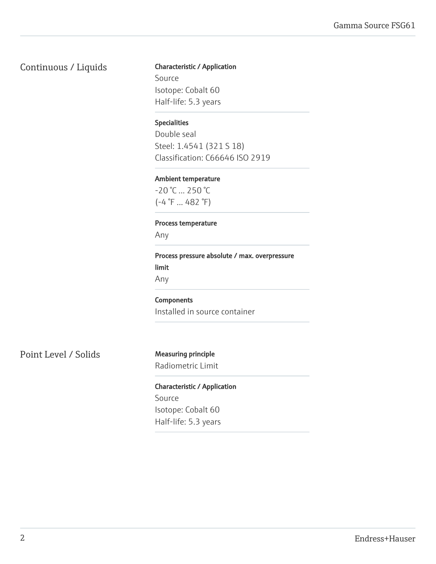# Continuous / Liquids Characteristic / Application

Source Isotope: Cobalt 60 Half-life: 5.3 years

#### Specialities

Double seal Steel: 1.4541 (321 S 18) Classification: C66646 ISO 2919

#### Ambient temperature

-20 °C ... 250 °C  $(-4 \degree F ... 482 \degree F)$ 

### Process temperature

Any

Process pressure absolute / max. overpressure limit Any

Components Installed in source container

Point Level / Solids Measuring principle

Radiometric Limit

Characteristic / Application Source Isotope: Cobalt 60 Half-life: 5.3 years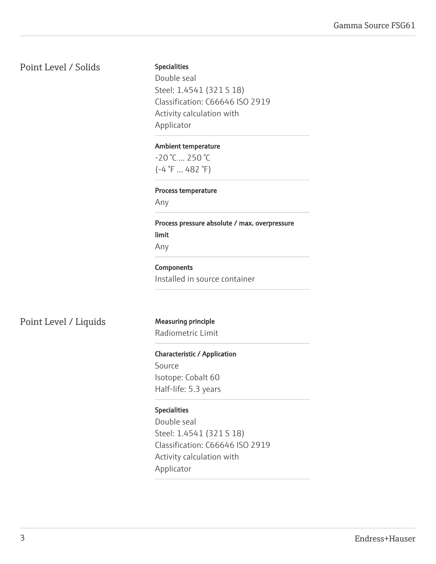# Point Level / Solids

#### Specialities

Double seal Steel: 1.4541 (321 S 18) Classification: C66646 ISO 2919 Activity calculation with Applicator

#### Ambient temperature

-20 °C ... 250 °C (-4 °F ... 482 °F)

### Process temperature

Any

Process pressure absolute / max. overpressure limit Any

#### **Components**

Installed in source container

Point Level / Liquids Measuring principle

Radiometric Limit

### Characteristic / Application

Source Isotope: Cobalt 60 Half-life: 5.3 years

### Specialities

Double seal Steel: 1.4541 (321 S 18) Classification: C66646 ISO 2919 Activity calculation with Applicator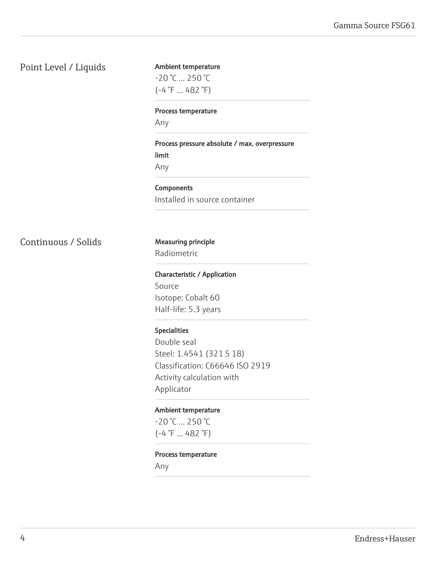# Point Level / Liquids

# Ambient temperature  $-20$  °C  $...$  250 °C (-4 °F ... 482 °F)

#### Process temperature

Any

Process pressure absolute / max. overpressure limit Any

**Components** Installed in source container

Continuous / Solids Measuring principle

# Radiometric

Characteristic / Application Source Isotope: Cobalt 60 Half-life: 5.3 years

#### Specialities

Double seal Steel: 1.4541 (321 S 18) Classification: C66646 ISO 2919 Activity calculation with Applicator

#### Ambient temperature

-20 °C ... 250 °C  $(-4 \degree F ... 482 \degree F)$ 

#### Process temperature

Any